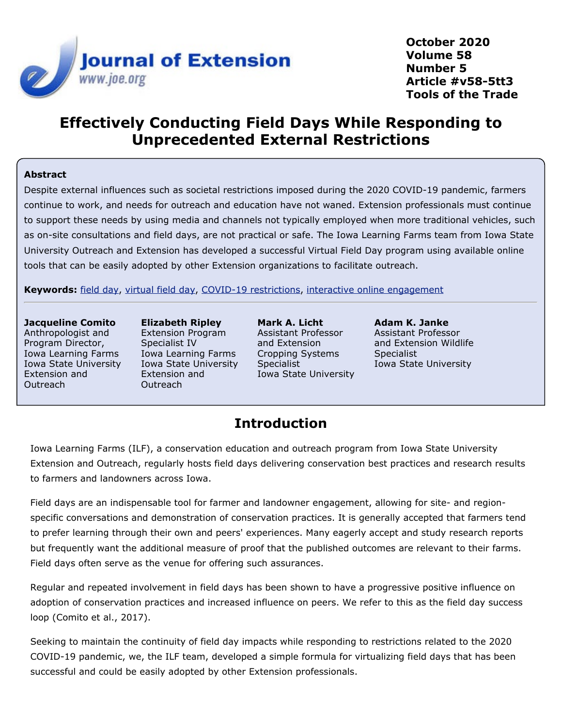

**October 2020 Volume 58 Number 5 Article #v58-5tt3 Tools of the Trade**

# **Effectively Conducting Field Days While Responding to Unprecedented External Restrictions**

#### **Abstract**

Despite external influences such as societal restrictions imposed during the 2020 COVID-19 pandemic, farmers continue to work, and needs for outreach and education have not waned. Extension professionals must continue to support these needs by using media and channels not typically employed when more traditional vehicles, such as on-site consultations and field days, are not practical or safe. The Iowa Learning Farms team from Iowa State University Outreach and Extension has developed a successful Virtual Field Day program using available online tools that can be easily adopted by other Extension organizations to facilitate outreach.

**Keywords:** [field day](https://joe.org/search-results.php?cx=010816128502272931564%3Aopgn_voyplk&cof=FORID%3A10&ie=UTF-8&q=field day&sa=Search+JOE#1039\), [virtual field day](https://joe.org/search-results.php?cx=010816128502272931564%3Aopgn_voyplk&cof=FORID%3A10&ie=UTF-8&q=virtual field day&sa=Search+JOE#1039\), [COVID-19 restrictions](https://joe.org/search-results.php?cx=010816128502272931564%3Aopgn_voyplk&cof=FORID%3A10&ie=UTF-8&q=COVID-19 restrictions&sa=Search+JOE#1039\), [interactive online engagement](https://joe.org/search-results.php?cx=010816128502272931564%3Aopgn_voyplk&cof=FORID%3A10&ie=UTF-8&q=interactive online engagement&sa=Search+JOE#1039)

**Jacqueline Comito** Anthropologist and Program Director, Iowa Learning Farms Iowa State University Extension and Outreach

**Elizabeth Ripley** Extension Program Specialist IV Iowa Learning Farms Iowa State University Extension and Outreach

**Mark A. Licht** Assistant Professor and Extension Cropping Systems Specialist Iowa State University

**Adam K. Janke** Assistant Professor and Extension Wildlife Specialist Iowa State University

### **Introduction**

Iowa Learning Farms (ILF), a conservation education and outreach program from Iowa State University Extension and Outreach, regularly hosts field days delivering conservation best practices and research results to farmers and landowners across Iowa.

Field days are an indispensable tool for farmer and landowner engagement, allowing for site- and regionspecific conversations and demonstration of conservation practices. It is generally accepted that farmers tend to prefer learning through their own and peers' experiences. Many eagerly accept and study research reports but frequently want the additional measure of proof that the published outcomes are relevant to their farms. Field days often serve as the venue for offering such assurances.

Regular and repeated involvement in field days has been shown to have a progressive positive influence on adoption of conservation practices and increased influence on peers. We refer to this as the field day success loop (Comito et al., 2017).

Seeking to maintain the continuity of field day impacts while responding to restrictions related to the 2020 COVID-19 pandemic, we, the ILF team, developed a simple formula for virtualizing field days that has been successful and could be easily adopted by other Extension professionals.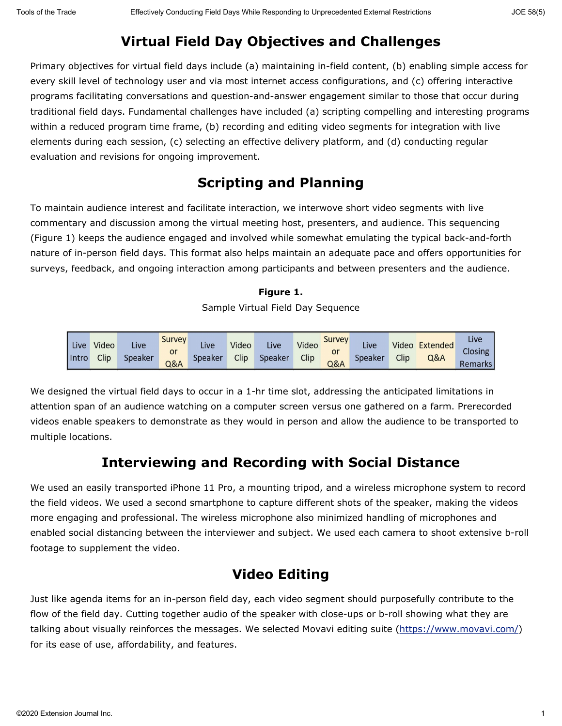# **Virtual Field Day Objectives and Challenges**

Primary objectives for virtual field days include (a) maintaining in-field content, (b) enabling simple access for every skill level of technology user and via most internet access configurations, and (c) offering interactive programs facilitating conversations and question-and-answer engagement similar to those that occur during traditional field days. Fundamental challenges have included (a) scripting compelling and interesting programs within a reduced program time frame, (b) recording and editing video segments for integration with live elements during each session, (c) selecting an effective delivery platform, and (d) conducting regular evaluation and revisions for ongoing improvement.

# **Scripting and Planning**

To maintain audience interest and facilitate interaction, we interwove short video segments with live commentary and discussion among the virtual meeting host, presenters, and audience. This sequencing (Figure 1) keeps the audience engaged and involved while somewhat emulating the typical back-and-forth nature of in-person field days. This format also helps maintain an adequate pace and offers opportunities for surveys, feedback, and ongoing interaction among participants and between presenters and the audience.

### **Figure 1.**

Sample Virtual Field Day Sequence

| Live  | Video | Live    | <b>Survey</b> | Live    | Video | Live    | Video | Survey | Live    | Clip | Video Extended | Live           |
|-------|-------|---------|---------------|---------|-------|---------|-------|--------|---------|------|----------------|----------------|
| Intro | Clip  | Speaker | or            | Speaker | Clip  | Speaker | Clip  | or     | Speaker |      | Q&A            | Closing        |
|       |       |         | Q&A           |         |       |         |       | Q&A    |         |      |                | <b>Remarks</b> |

We designed the virtual field days to occur in a 1-hr time slot, addressing the anticipated limitations in attention span of an audience watching on a computer screen versus one gathered on a farm. Prerecorded videos enable speakers to demonstrate as they would in person and allow the audience to be transported to multiple locations.

## **Interviewing and Recording with Social Distance**

We used an easily transported iPhone 11 Pro, a mounting tripod, and a wireless microphone system to record the field videos. We used a second smartphone to capture different shots of the speaker, making the videos more engaging and professional. The wireless microphone also minimized handling of microphones and enabled social distancing between the interviewer and subject. We used each camera to shoot extensive b-roll footage to supplement the video.

## **Video Editing**

Just like agenda items for an in-person field day, each video segment should purposefully contribute to the flow of the field day. Cutting together audio of the speaker with close-ups or b-roll showing what they are talking about visually reinforces the messages. We selected Movavi editing suite [\(https://www.movavi.com/](https://www.movavi.com/)) for its ease of use, affordability, and features.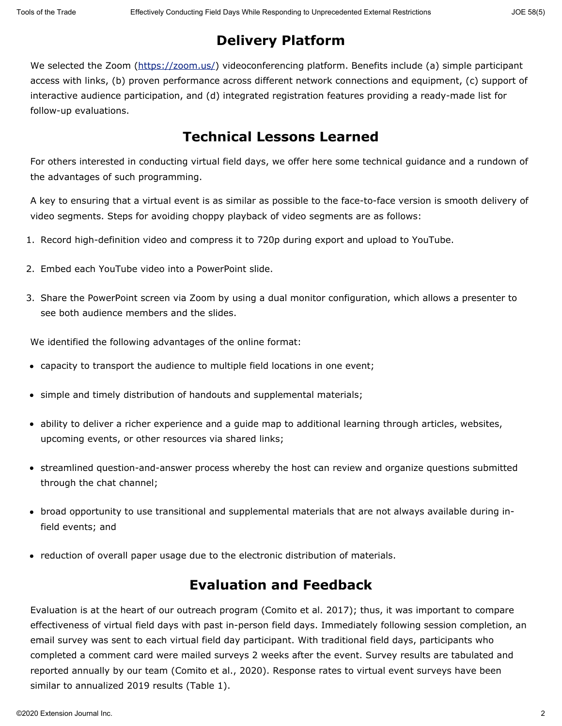# **Delivery Platform**

We selected the Zoom [\(https://zoom.us/](https://zoom.us/)) videoconferencing platform. Benefits include (a) simple participant access with links, (b) proven performance across different network connections and equipment, (c) support of interactive audience participation, and (d) integrated registration features providing a ready-made list for follow-up evaluations.

## **Technical Lessons Learned**

For others interested in conducting virtual field days, we offer here some technical guidance and a rundown of the advantages of such programming.

A key to ensuring that a virtual event is as similar as possible to the face-to-face version is smooth delivery of video segments. Steps for avoiding choppy playback of video segments are as follows:

- 1. Record high-definition video and compress it to 720p during export and upload to YouTube.
- 2. Embed each YouTube video into a PowerPoint slide.
- 3. Share the PowerPoint screen via Zoom by using a dual monitor configuration, which allows a presenter to see both audience members and the slides.

We identified the following advantages of the online format:

- capacity to transport the audience to multiple field locations in one event;
- simple and timely distribution of handouts and supplemental materials;
- ability to deliver a richer experience and a guide map to additional learning through articles, websites, upcoming events, or other resources via shared links;
- streamlined question-and-answer process whereby the host can review and organize questions submitted through the chat channel;
- broad opportunity to use transitional and supplemental materials that are not always available during infield events; and
- reduction of overall paper usage due to the electronic distribution of materials.

### **Evaluation and Feedback**

Evaluation is at the heart of our outreach program (Comito et al. 2017); thus, it was important to compare effectiveness of virtual field days with past in-person field days. Immediately following session completion, an email survey was sent to each virtual field day participant. With traditional field days, participants who completed a comment card were mailed surveys 2 weeks after the event. Survey results are tabulated and reported annually by our team (Comito et al., 2020). Response rates to virtual event surveys have been similar to annualized 2019 results (Table 1).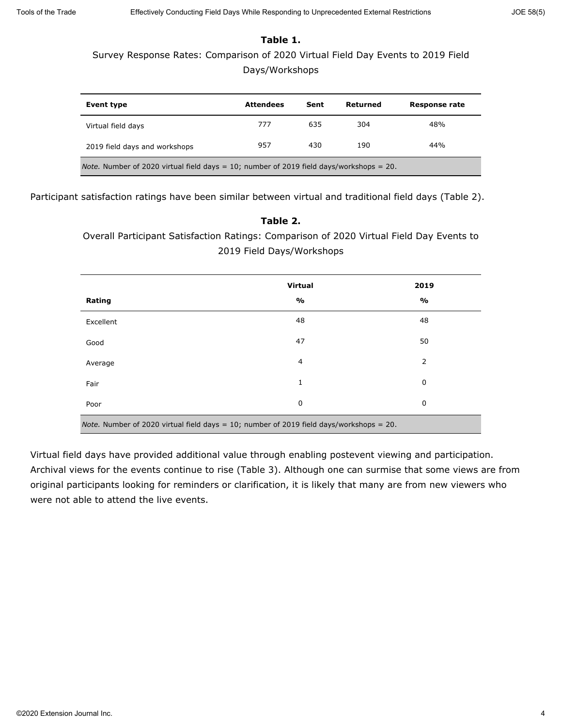#### **Table 1.**

### Survey Response Rates: Comparison of 2020 Virtual Field Day Events to 2019 Field Days/Workshops

| Event type                                                                                     | <b>Attendees</b> | Sent | Returned | Response rate |  |  |
|------------------------------------------------------------------------------------------------|------------------|------|----------|---------------|--|--|
| Virtual field days                                                                             | 777              | 635  | 304      | 48%           |  |  |
| 2019 field days and workshops                                                                  | 957              | 430  | 190      | 44%           |  |  |
| <i>Note.</i> Number of 2020 virtual field days = 10; number of 2019 field days/workshops = 20. |                  |      |          |               |  |  |

Participant satisfaction ratings have been similar between virtual and traditional field days (Table 2).

#### **Table 2.**

Overall Participant Satisfaction Ratings: Comparison of 2020 Virtual Field Day Events to 2019 Field Days/Workshops

|                                                                                                      | <b>Virtual</b> | 2019          |  |  |  |
|------------------------------------------------------------------------------------------------------|----------------|---------------|--|--|--|
| Rating                                                                                               | %              | $\frac{9}{0}$ |  |  |  |
| Excellent                                                                                            | 48             | 48            |  |  |  |
| Good                                                                                                 | 47             | 50            |  |  |  |
| Average                                                                                              | 4              | 2             |  |  |  |
| Fair                                                                                                 | $\mathbf{1}$   | 0             |  |  |  |
| Poor                                                                                                 | 0              | 0             |  |  |  |
| <i>Note.</i> Number of 2020 virtual field days = $10$ ; number of 2019 field days/workshops = $20$ . |                |               |  |  |  |

Virtual field days have provided additional value through enabling postevent viewing and participation. Archival views for the events continue to rise (Table 3). Although one can surmise that some views are from original participants looking for reminders or clarification, it is likely that many are from new viewers who were not able to attend the live events.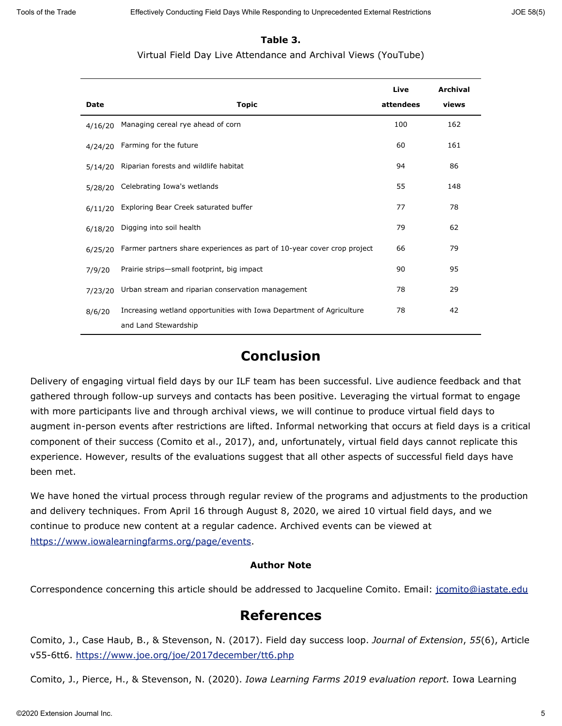#### **Table 3.**

#### Virtual Field Day Live Attendance and Archival Views (YouTube)

|             |                                                                         | Live      | <b>Archival</b><br>views |
|-------------|-------------------------------------------------------------------------|-----------|--------------------------|
| <b>Date</b> | <b>Topic</b>                                                            | attendees |                          |
| 4/16/20     | Managing cereal rye ahead of corn                                       | 100       | 162                      |
| 4/24/20     | Farming for the future                                                  | 60        | 161                      |
| 5/14/20     | Riparian forests and wildlife habitat                                   | 94        | 86                       |
| 5/28/20     | Celebrating Iowa's wetlands                                             | 55        | 148                      |
| 6/11/20     | Exploring Bear Creek saturated buffer                                   | 77        | 78                       |
| 6/18/20     | Digging into soil health                                                | 79        | 62                       |
| 6/25/20     | Farmer partners share experiences as part of 10-year cover crop project | 66        | 79                       |
| 7/9/20      | Prairie strips-small footprint, big impact                              | 90        | 95                       |
| 7/23/20     | Urban stream and riparian conservation management                       | 78        | 29                       |
| 8/6/20      | Increasing wetland opportunities with Iowa Department of Agriculture    | 78        | 42                       |
|             | and Land Stewardship                                                    |           |                          |

### **Conclusion**

Delivery of engaging virtual field days by our ILF team has been successful. Live audience feedback and that gathered through follow-up surveys and contacts has been positive. Leveraging the virtual format to engage with more participants live and through archival views, we will continue to produce virtual field days to augment in-person events after restrictions are lifted. Informal networking that occurs at field days is a critical component of their success (Comito et al., 2017), and, unfortunately, virtual field days cannot replicate this experience. However, results of the evaluations suggest that all other aspects of successful field days have been met.

We have honed the virtual process through regular review of the programs and adjustments to the production and delivery techniques. From April 16 through August 8, 2020, we aired 10 virtual field days, and we continue to produce new content at a regular cadence. Archived events can be viewed at <https://www.iowalearningfarms.org/page/events>.

#### **Author Note**

Correspondence concerning this article should be addressed to Jacqueline Comito. Email: [jcomito@iastate.edu](mailto:jcomito@iastate.edu)

### **References**

Comito, J., Case Haub, B., & Stevenson, N. (2017). Field day success loop. *Journal of Extension*, *55*(6), Article v55-6tt6. <https://www.joe.org/joe/2017december/tt6.php>

Comito, J., Pierce, H., & Stevenson, N. (2020). *Iowa Learning Farms 2019 evaluation report.* Iowa Learning